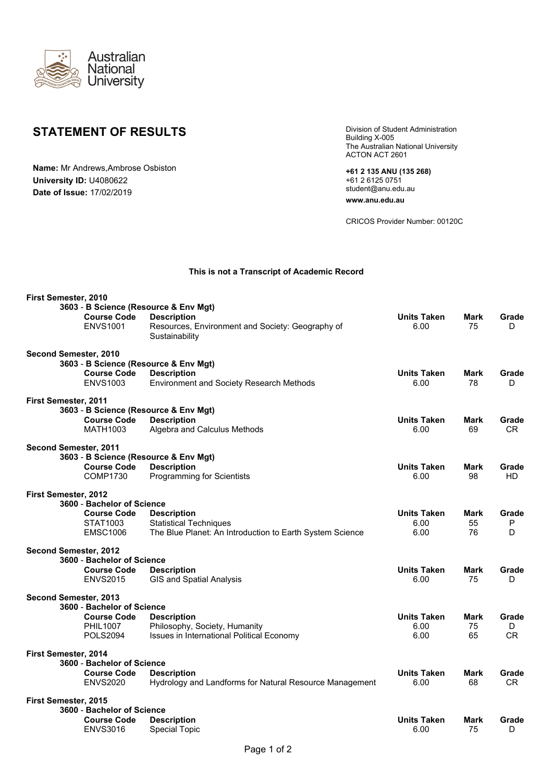

## **STATEMENT OF RESULTS**

**Name:** Mr Andrews,Ambrose Osbiston **University ID:** U4080622 **Date of Issue:** 17/02/2019

Building X-005 The Australian National University ACTON ACT 2601

**+61 2 135 ANU (135 268)** +61 2 6125 0751 student@anu.edu.au

**www.anu.edu.au**

CRICOS Provider Number: 00120C

## **This is not a Transcript of Academic Record**

| First Semester, 2010  |                                       |                                                                    |                    |      |           |
|-----------------------|---------------------------------------|--------------------------------------------------------------------|--------------------|------|-----------|
|                       |                                       | 3603 - B Science (Resource & Env Mgt)                              |                    |      |           |
|                       | <b>Course Code</b>                    | <b>Description</b>                                                 | <b>Units Taken</b> | Mark | Grade     |
|                       | <b>ENVS1001</b>                       | Resources, Environment and Society: Geography of<br>Sustainability | 6.00               | 75   | D         |
| Second Semester, 2010 |                                       |                                                                    |                    |      |           |
|                       |                                       | 3603 - B Science (Resource & Env Mgt)                              |                    |      |           |
|                       | <b>Course Code</b>                    | <b>Description</b>                                                 | <b>Units Taken</b> | Mark | Grade     |
|                       | <b>ENVS1003</b>                       | Environment and Society Research Methods                           | 6.00               | 78   | D         |
| First Semester, 2011  |                                       |                                                                    |                    |      |           |
|                       | 3603 - B Science (Resource & Env Mgt) |                                                                    |                    |      |           |
|                       | <b>Course Code</b>                    | <b>Description</b>                                                 | <b>Units Taken</b> | Mark | Grade     |
|                       | <b>MATH1003</b>                       | Algebra and Calculus Methods                                       | 6.00               | 69   | CR        |
| Second Semester, 2011 |                                       |                                                                    |                    |      |           |
|                       |                                       | 3603 - B Science (Resource & Env Mgt)                              |                    |      |           |
|                       | <b>Course Code</b>                    | <b>Description</b>                                                 | <b>Units Taken</b> | Mark | Grade     |
|                       | COMP1730                              | <b>Programming for Scientists</b>                                  | 6.00               | 98   | HD.       |
| First Semester, 2012  |                                       |                                                                    |                    |      |           |
|                       | 3600 - Bachelor of Science            |                                                                    |                    |      |           |
|                       | <b>Course Code</b>                    | <b>Description</b>                                                 | <b>Units Taken</b> | Mark | Grade     |
|                       | STAT1003                              | <b>Statistical Techniques</b>                                      | 6.00               | 55   | ${\sf P}$ |
|                       | <b>EMSC1006</b>                       | The Blue Planet: An Introduction to Earth System Science           | 6.00               | 76   | D         |
| Second Semester, 2012 |                                       |                                                                    |                    |      |           |
|                       | 3600 - Bachelor of Science            |                                                                    |                    |      |           |
|                       | <b>Course Code</b>                    | <b>Description</b>                                                 | <b>Units Taken</b> | Mark | Grade     |
|                       | <b>ENVS2015</b>                       | GIS and Spatial Analysis                                           | 6.00               | 75   | D         |
| Second Semester, 2013 |                                       |                                                                    |                    |      |           |
|                       | 3600 - Bachelor of Science            |                                                                    |                    |      |           |
|                       | <b>Course Code</b>                    | <b>Description</b>                                                 | <b>Units Taken</b> | Mark | Grade     |
|                       | <b>PHIL1007</b>                       | Philosophy, Society, Humanity                                      | 6.00               | 75   | D         |
|                       | <b>POLS2094</b>                       | Issues in International Political Economy                          | 6.00               | 65   | CR.       |
| First Semester, 2014  |                                       |                                                                    |                    |      |           |
|                       | 3600 - Bachelor of Science            |                                                                    |                    |      |           |
|                       | <b>Course Code</b>                    | <b>Description</b>                                                 | <b>Units Taken</b> | Mark | Grade     |
|                       | <b>ENVS2020</b>                       | Hydrology and Landforms for Natural Resource Management            | 6.00               | 68   | CR.       |
| First Semester, 2015  |                                       |                                                                    |                    |      |           |
|                       | 3600 - Bachelor of Science            |                                                                    |                    |      |           |
|                       | <b>Course Code</b>                    | <b>Description</b>                                                 | <b>Units Taken</b> | Mark | Grade     |
|                       | <b>ENVS3016</b>                       | <b>Special Topic</b>                                               | 6.00               | 75   | D         |